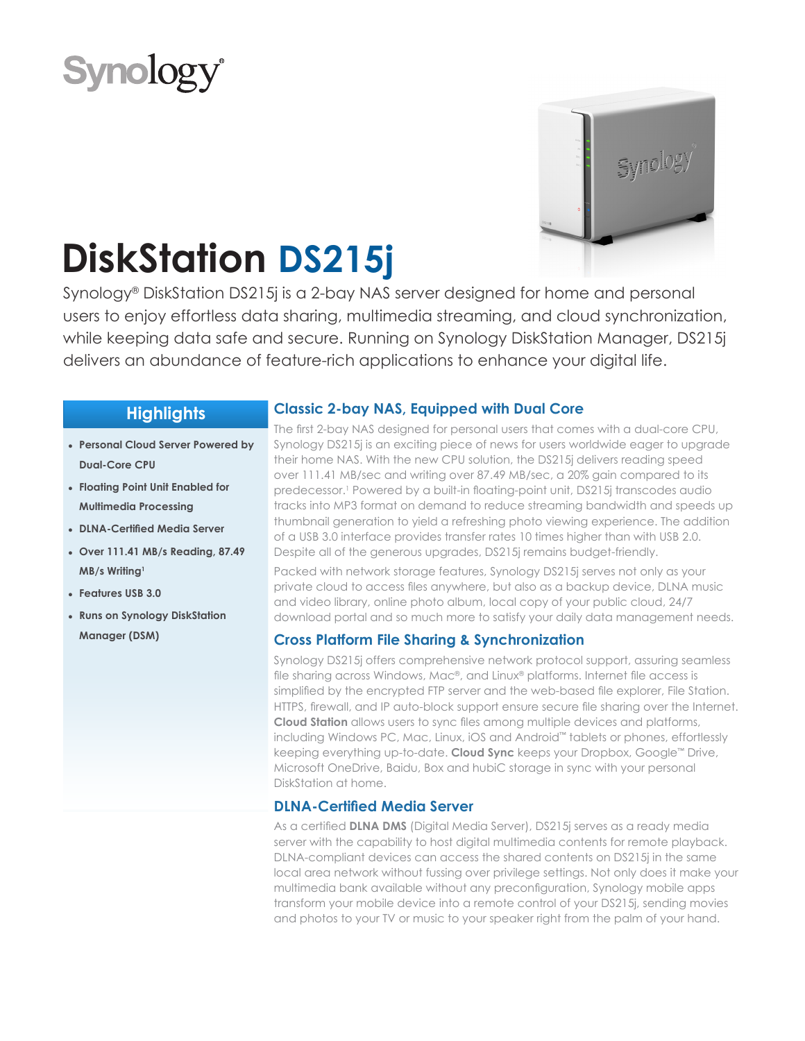



# **DiskStation DS215j**

Synology® DiskStation DS215j is a 2-bay NAS server designed for home and personal users to enjoy effortless data sharing, multimedia streaming, and cloud synchronization, while keeping data safe and secure. Running on Synology DiskStation Manager, DS215j delivers an abundance of feature-rich applications to enhance your digital life.

# **Highlights**

- **● Personal Cloud Server Powered by Dual-Core CPU**
- **● Floating Point Unit Enabled for Multimedia Processing**
- **● DLNA-Certified Media Server**
- **● Over 111.41 MB/s Reading, 87.49 MB/s Writing<sup>1</sup>**
- **● Features USB 3.0**
- **● Runs on Synology DiskStation Manager (DSM)**

# **Classic 2-bay NAS, Equipped with Dual Core**

The first 2-bay NAS designed for personal users that comes with a dual-core CPU, Synology DS215j is an exciting piece of news for users worldwide eager to upgrade their home NAS. With the new CPU solution, the DS215j delivers reading speed over 111.41 MB/sec and writing over 87.49 MB/sec, a 20% gain compared to its predecessor.1 Powered by a built-in floating-point unit, DS215j transcodes audio tracks into MP3 format on demand to reduce streaming bandwidth and speeds up thumbnail generation to yield a refreshing photo viewing experience. The addition of a USB 3.0 interface provides transfer rates 10 times higher than with USB 2.0. Despite all of the generous upgrades, DS215j remains budget-friendly.

Packed with network storage features, Synology DS215j serves not only as your private cloud to access files anywhere, but also as a backup device, DLNA music and video library, online photo album, local copy of your public cloud, 24/7 download portal and so much more to satisfy your daily data management needs.

# **Cross Platform File Sharing & Synchronization**

Synology DS215j offers comprehensive network protocol support, assuring seamless file sharing across Windows, Mac®, and Linux® platforms. Internet file access is simplified by the encrypted FTP server and the web-based file explorer, File Station. HTTPS, firewall, and IP auto-block support ensure secure file sharing over the Internet. **Cloud Station** allows users to sync files among multiple devices and platforms, including Windows PC, Mac, Linux, iOS and Android™ tablets or phones, effortlessly keeping everything up-to-date. **Cloud Sync** keeps your Dropbox, Google™ Drive, Microsoft OneDrive, Baidu, Box and hubiC storage in sync with your personal DiskStation at home.

# **DLNA-Certified Media Server**

As a certified **DLNA DMS** (Digital Media Server), DS215j serves as a ready media server with the capability to host digital multimedia contents for remote playback. DLNA-compliant devices can access the shared contents on DS215j in the same local area network without fussing over privilege settings. Not only does it make your multimedia bank available without any preconfiguration, Synology mobile apps transform your mobile device into a remote control of your DS215j, sending movies and photos to your TV or music to your speaker right from the palm of your hand.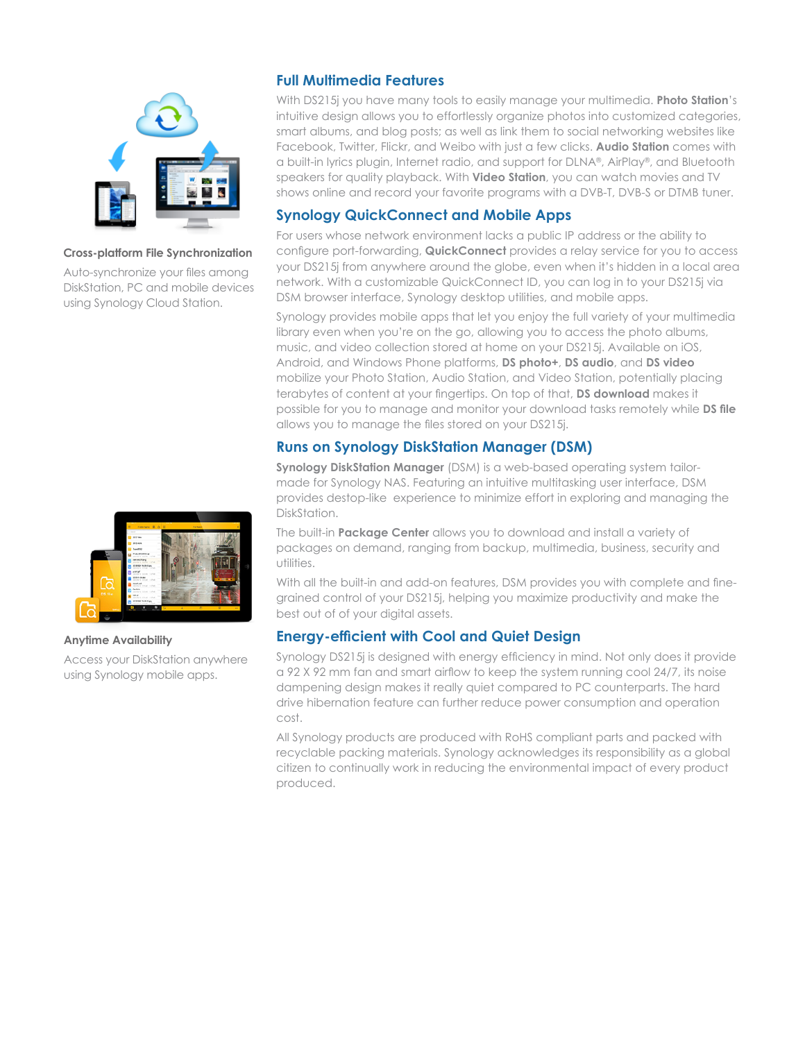

### **Cross-platform File Synchronization**

Auto-synchronize your files among DiskStation, PC and mobile devices using Synology Cloud Station.



### **Anytime Availability**

Access your DiskStation anywhere using Synology mobile apps.

# **Full Multimedia Features**

With DS215j you have many tools to easily manage your multimedia. **Photo Station**'s intuitive design allows you to effortlessly organize photos into customized categories, smart albums, and blog posts; as well as link them to social networking websites like Facebook, Twitter, Flickr, and Weibo with just a few clicks. **Audio Station** comes with a built-in lyrics plugin, Internet radio, and support for DLNA®, AirPlay®, and Bluetooth speakers for quality playback. With **Video Station**, you can watch movies and TV shows online and record your favorite programs with a DVB-T, DVB-S or DTMB tuner.

## **Synology QuickConnect and Mobile Apps**

For users whose network environment lacks a public IP address or the ability to configure port-forwarding, **QuickConnect** provides a relay service for you to access your DS215j from anywhere around the globe, even when it's hidden in a local area network. With a customizable QuickConnect ID, you can log in to your DS215j via DSM browser interface, Synology desktop utilities, and mobile apps.

Synology provides mobile apps that let you enjoy the full variety of your multimedia library even when you're on the go, allowing you to access the photo albums, music, and video collection stored at home on your DS215j. Available on iOS, Android, and Windows Phone platforms, **DS photo+**, **DS audio**, and **DS video** mobilize your Photo Station, Audio Station, and Video Station, potentially placing terabytes of content at your fingertips. On top of that, **DS download** makes it possible for you to manage and monitor your download tasks remotely while **DS file** allows you to manage the files stored on your DS215j.

# **Runs on Synology DiskStation Manager (DSM)**

**Synology DiskStation Manager** (DSM) is a web-based operating system tailormade for Synology NAS. Featuring an intuitive multitasking user interface, DSM provides destop-like experience to minimize effort in exploring and managing the DiskStation.

The built-in **Package Center** allows you to download and install a variety of packages on demand, ranging from backup, multimedia, business, security and utilities.

With all the built-in and add-on features, DSM provides you with complete and finegrained control of your DS215j, helping you maximize productivity and make the best out of of your digital assets.

# **Energy-efficient with Cool and Quiet Design**

Synology DS215j is designed with energy efficiency in mind. Not only does it provide a 92 X 92 mm fan and smart airflow to keep the system running cool 24/7, its noise dampening design makes it really quiet compared to PC counterparts. The hard drive hibernation feature can further reduce power consumption and operation cost.

All Synology products are produced with RoHS compliant parts and packed with recyclable packing materials. Synology acknowledges its responsibility as a global citizen to continually work in reducing the environmental impact of every product produced.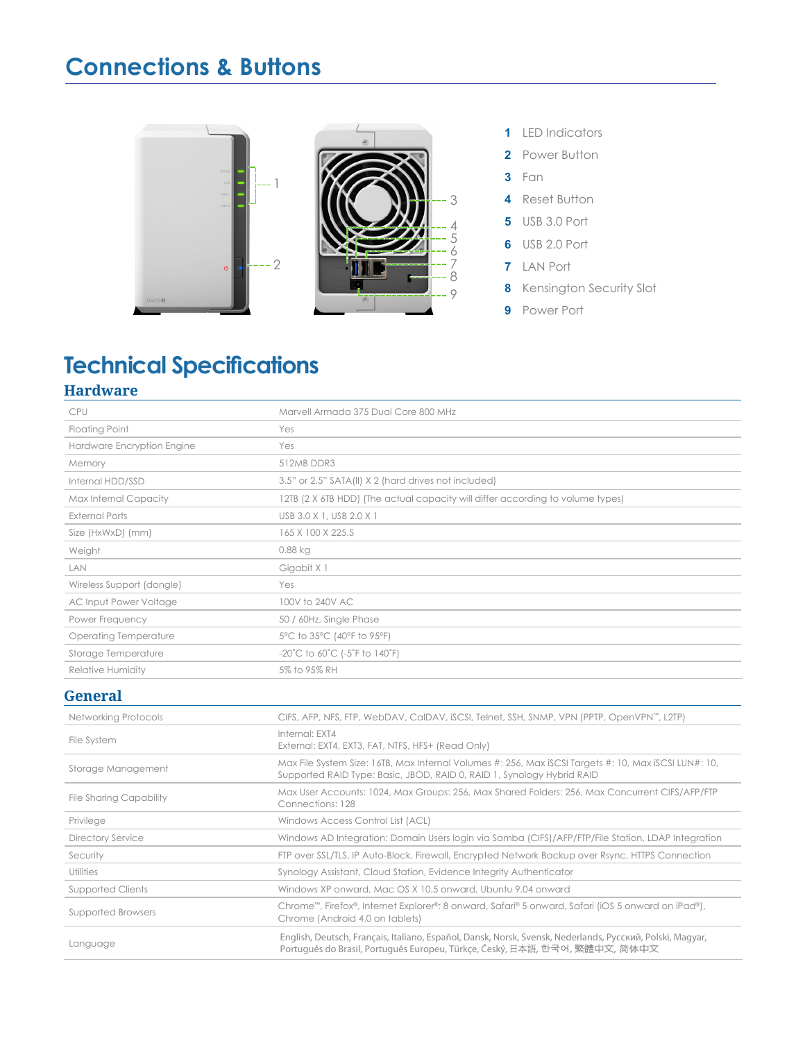# **Connections & Buttons**



# **Technical Specifications**

# **Hardware**

| CPU                            | Marvell Armada 375 Dual Core 800 MHz                                                                                                                                                     |
|--------------------------------|------------------------------------------------------------------------------------------------------------------------------------------------------------------------------------------|
| <b>Floating Point</b>          | Yes                                                                                                                                                                                      |
| Hardware Encryption Engine     | Yes                                                                                                                                                                                      |
| Memory                         | 512MB DDR3                                                                                                                                                                               |
| Internal HDD/SSD               | 3.5" or 2.5" SATA(II) X 2 (hard drives not included)                                                                                                                                     |
| Max Internal Capacity          | 12TB (2 X 6TB HDD) (The actual capacity will differ according to volume types)                                                                                                           |
| <b>External Ports</b>          | USB 3.0 X 1, USB 2.0 X 1                                                                                                                                                                 |
| Size (HxWxD) (mm)              | 165 X 100 X 225.5                                                                                                                                                                        |
| Weight                         | $0.88$ kg                                                                                                                                                                                |
| LAN                            | Gigabit X 1                                                                                                                                                                              |
| Wireless Support (dongle)      | Yes                                                                                                                                                                                      |
| AC Input Power Voltage         | 100V to 240V AC                                                                                                                                                                          |
| Power Frequency                | 50 / 60Hz, Single Phase                                                                                                                                                                  |
| <b>Operating Temperature</b>   | 5°C to 35°C (40°F to 95°F)                                                                                                                                                               |
| Storage Temperature            | $-20^{\circ}$ C to 60 $^{\circ}$ C (-5 $^{\circ}$ F to 140 $^{\circ}$ F)                                                                                                                 |
| Relative Humidity              | 5% to 95% RH                                                                                                                                                                             |
| <b>General</b>                 |                                                                                                                                                                                          |
| <b>Networking Protocols</b>    | CIFS, AFP, NFS, FTP, WebDAV, CalDAV, iSCSI, Telnet, SSH, SNMP, VPN (PPTP, OpenVPN™, L2TP)                                                                                                |
| File System                    | Internal: EXT4<br>External: EXT4, EXT3, FAT, NTFS, HFS+ (Read Only)                                                                                                                      |
| Storage Management             | Max File System Size: 16TB, Max Internal Volumes #: 256, Max iSCSI Targets #: 10, Max iSCSI LUN#: 10,<br>Supported RAID Type: Basic, JBOD, RAID 0, RAID 1, Synology Hybrid RAID          |
| <b>File Sharing Capability</b> | Max User Accounts: 1024, Max Groups: 256, Max Shared Folders: 256, Max Concurrent CIFS/AFP/FTP<br>Connections: 128                                                                       |
| Privilege                      | Windows Access Control List (ACL)                                                                                                                                                        |
| <b>Directory Service</b>       | Windows AD Integration: Domain Users login via Samba (CIFS)/AFP/FTP/File Station, LDAP Integration                                                                                       |
| Security                       | FTP over SSL/TLS, IP Auto-Block, Firewall, Encrypted Network Backup over Rsync, HTTPS Connection                                                                                         |
| Utilities                      | Synology Assistant, Cloud Station, Evidence Integrity Authenticator                                                                                                                      |
| <b>Supported Clients</b>       | Windows XP onward, Mac OS X 10.5 onward, Ubuntu 9.04 onward                                                                                                                              |
| Supported Browsers             | Chrome <sup>TM</sup> , Firefox®, Internet Explorer®: 8 onward, Safari® 5 onward, Safari (iOS 5 onward on iPad®),<br>Chrome (Android 4.0 on tablets)                                      |
| Language                       | English, Deutsch, Français, Italiano, Español, Dansk, Norsk, Svensk, Nederlands, Русский, Polski, Magyar,<br>Portuquês do Brasil, Portuquês Europeu, Türkce, Český, 日本語, 한국어, 繁體中文, 简体中文 |